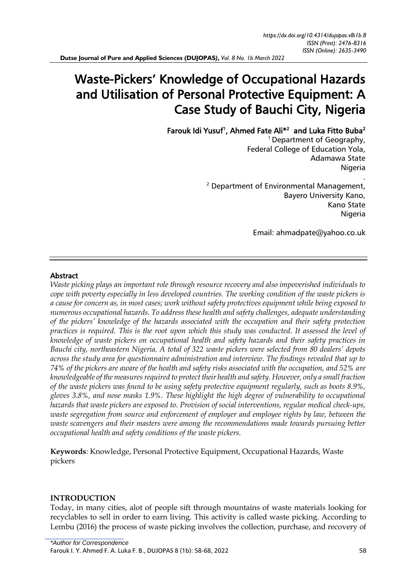**Dutse Journal of Pure and Applied Sciences (DUJOPAS***), Vol. 8 No. 1b March 2022*

# Waste-Pickers' Knowledge of Occupational Hazards and Utilisation of Personal Protective Equipment: A Case Study of Bauchi City, Nigeria

Farouk Idi Yusuf<sup>1</sup>, Ahmed Fate Ali<sup>\*2</sup> and Luka Fitto Buba<sup>2</sup>

 $1$  Department of Geography, Federal College of Education Yola, Adamawa State Nigeria .

 $2$  Department of Environmental Management, Bayero University Kano, Kano State Nigeria

Email: [ahmadpate@yahoo.co.uk](mailto:ahmadpate@yahoo.co.uk)

# Abstract

*Waste picking plays an important role through resource recovery and also impoverished individuals to cope with poverty especially in less developed countries. The working condition of the waste pickers is a cause for concern as, in most cases; work without safety protectives equipment while being exposed to numerous occupational hazards. To address these health and safety challenges, adequate understanding of the pickers' knowledge of the hazards associated with the occupation and their safety protection practices is required. This is the root upon which this study was conducted. It assessed the level of knowledge of waste pickers on occupational health and safety hazards and their safety practices in Bauchi city, northeastern Nigeria. A total of 322 waste pickers were selected from 80 dealers' depots across the study area for questionnaire administration and interview. The findings revealed that up to 74% of the pickers are aware of the health and safety risks associated with the occupation, and 52% are knowledgeable of the measures required to protect their health and safety. However, only a small fraction of the waste pickers was found to be using safety protective equipment regularly, such as boots 8.9%, gloves 3.8%, and nose masks 1.9%. These highlight the high degree of vulnerability to occupational hazards that waste pickers are exposed to. Provision of social interventions, regular medical check-ups, waste segregation from source and enforcement of employer and employee rights by law, between the waste scavengers and their masters were among the recommendations made towards pursuing better occupational health and safety conditions of the waste pickers.* 

**Keywords***:* Knowledge, Personal Protective Equipment, Occupational Hazards, Waste pickers

## **INTRODUCTION**

Today, in many cities, alot of people sift through mountains of waste materials looking for recyclables to sell in order to earn living. This activity is called waste picking. According to Lembu (2016) the process of waste picking involves the collection, purchase, and recovery of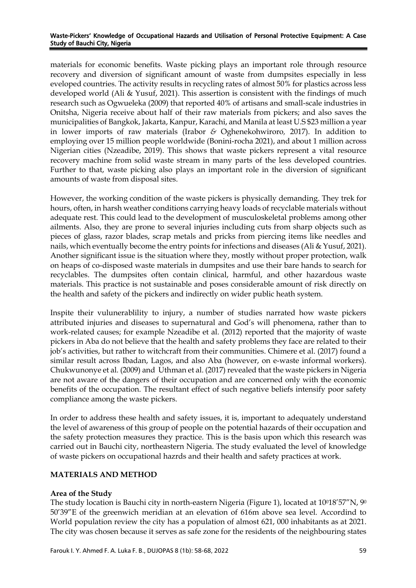materials for economic benefits. Waste picking plays an important role through resource recovery and diversion of significant amount of waste from dumpsites especially in less eveloped countries. The activity results in recycling rates of almost 50% for plastics across less developed world (Ali & Yusuf, 2021). This assertion is consistent with the findings of much research such as Ogwueleka (2009) that reported 40% of artisans and small-scale industries in Onitsha, Nigeria receive about half of their raw materials from pickers; and also saves the municipalities of Bangkok, Jakarta, Kanpur, Karachi, and Manila at least U.S \$23 million a year in lower imports of raw materials (Irabor *&* Oghenekohwiroro*,* 2017). In addition to employing over 15 million people worldwide (Bonini-rocha 2021), and about 1 million across Nigerian cities (Nzeadibe, 2019). This shows that waste pickers represent a vital resource recovery machine from solid waste stream in many parts of the less developed countries. Further to that, waste picking also plays an important role in the diversion of significant amounts of waste from disposal sites.

However, the working condition of the waste pickers is physically demanding. They trek for hours, often, in harsh weather conditions carrying heavy loads of recyclable materials without adequate rest. This could lead to the development of musculoskeletal problems among other ailments. Also, they are prone to several injuries including cuts from sharp objects such as pieces of glass, razor blades, scrap metals and pricks from piercing items like needles and nails, which eventually become the entry points for infections and diseases (Ali & Yusuf, 2021). Another significant issue is the situation where they, mostly without proper protection, walk on heaps of co-disposed waste materials in dumpsites and use their bare hands to search for recyclables. The dumpsites often contain clinical, harmful, and other hazardous waste materials. This practice is not sustainable and poses considerable amount of risk directly on the health and safety of the pickers and indirectly on wider public heath system.

Inspite their vulunerablility to injury, a number of studies narrated how waste pickers attributed injuries and diseases to supernatural and God's will phenomena, rather than to work-related causes; for example Nzeadibe et al. (2012) reported that the majority of waste pickers in Aba do not believe that the health and safety problems they face are related to their job's activities, but rather to witchcraft from their communities. Chimere et al. (2017) found a similar result across Ibadan, Lagos, and also Aba (however, on e-waste informal workers). Chukwunonye et al. (2009) and Uthman et al. (2017) revealed that the waste pickers in Nigeria are not aware of the dangers of their occupation and are concerned only with the economic benefits of the occupation. The resultant effect of such negative beliefs intensify poor safety compliance among the waste pickers.

In order to address these health and safety issues, it is, important to adequately understand the level of awareness of this group of people on the potential hazards of their occupation and the safety protection measures they practice. This is the basis upon which this research was carried out in Bauchi city, northeastern Nigeria. The study evaluated the level of knowledge of waste pickers on occupational hazrds and their health and safety practices at work.

# **MATERIALS AND METHOD**

# **Area of the Study**

The study location is Bauchi city in north-eastern Nigeria (Figure 1), located at  $10^{\circ}18'57''N$ ,  $9^{\circ}$ 50'39"E of the greenwich meridian at an elevation of 616m above sea level. Accordind to World population review the city has a population of almost 621, 000 inhabitants as at 2021. The city was chosen because it serves as safe zone for the residents of the neighbouring states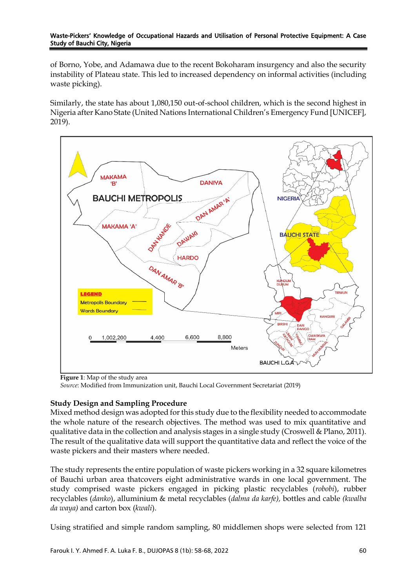of Borno, Yobe, and Adamawa due to the recent Bokoharam insurgency and also the security instability of Plateau state. This led to increased dependency on informal activities (including waste picking).

Similarly, the state has about 1,080,150 out-of-school children, which is the second highest in Nigeria after Kano State (United Nations International Children's Emergency Fund [UNICEF], 2019).



**Figure 1**: Map of the study area

*Source*: Modified from Immunization unit, Bauchi Local Government Secretariat (2019)

# **Study Design and Sampling Procedure**

Mixed method design was adopted for this study due to the flexibility needed to accommodate the whole nature of the research objectives. The method was used to mix quantitative and qualitative data in the collection and analysis stages in a single study (Croswell & Plano, 2011). The result of the qualitative data will support the quantitative data and reflect the voice of the waste pickers and their masters where needed.

The study represents the entire population of waste pickers working in a 32 square kilometres of Bauchi urban area thatcovers eight administrative wards in one local government. The study comprised waste pickers engaged in picking plastic recyclables (*robobi*), rubber recyclables (*danko*), alluminium & metal recyclables (*dalma da karfe),* bottles and cable *(kwalba da waya)* and carton box (*kwali*).

Using stratified and simple random sampling, 80 middlemen shops were selected from 121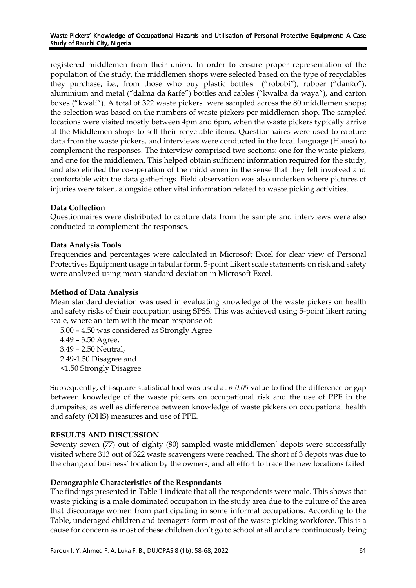registered middlemen from their union. In order to ensure proper representation of the population of the study, the middlemen shops were selected based on the type of recyclables they purchase; i.e., from those who buy plastic bottles ("robobi"), rubber ("danƙo"), aluminium and metal ("dalma da ƙarfe") bottles and cables ("kwalba da waya"), and carton boxes ("kwali"). A total of 322 waste pickers were sampled across the 80 middlemen shops; the selection was based on the numbers of waste pickers per middlemen shop. The sampled locations were visited mostly between 4pm and 6pm, when the waste pickers typically arrive at the Middlemen shops to sell their recyclable items. Questionnaires were used to capture data from the waste pickers, and interviews were conducted in the local language (Hausa) to complement the responses. The interview comprised two sections: one for the waste pickers, and one for the middlemen. This helped obtain sufficient information required for the study, and also elicited the co-operation of the middlemen in the sense that they felt involved and comfortable with the data gatherings. Field observation was also underken where pictures of injuries were taken, alongside other vital information related to waste picking activities.

# **Data Collection**

Questionnaires were distributed to capture data from the sample and interviews were also conducted to complement the responses.

# **Data Analysis Tools**

Frequencies and percentages were calculated in Microsoft Excel for clear view of Personal Protectives Equipment usage in tabular form. 5-point Likert scale statements on risk and safety were analyzed using mean standard deviation in Microsoft Excel.

## **Method of Data Analysis**

Mean standard deviation was used in evaluating knowledge of the waste pickers on health and safety risks of their occupation using SPSS. This was achieved using 5-point likert rating scale, where an item with the mean response of:

5.00 – 4.50 was considered as Strongly Agree 4.49 – 3.50 Agree, 3.49 – 2.50 Neutral, 2.49-1.50 Disagree and <1.50 Strongly Disagree

Subsequently, chi-square statistical tool was used at *p-0.05* value to find the difference or gap between knowledge of the waste pickers on occupational risk and the use of PPE in the dumpsites; as well as difference between knowledge of waste pickers on occupational health and safety (OHS) measures and use of PPE.

## **RESULTS AND DISCUSSION**

Seventy seven (77) out of eighty (80) sampled waste middlemen' depots were successfully visited where 313 out of 322 waste scavengers were reached. The short of 3 depots was due to the change of business' location by the owners, and all effort to trace the new locations failed

## **Demographic Characteristics of the Respondants**

The findings presented in Table 1 indicate that all the respondents were male. This shows that waste picking is a male dominated occupation in the study area due to the culture of the area that discourage women from participating in some informal occupations. According to the Table, underaged children and teenagers form most of the waste picking workforce. This is a cause for concern as most of these children don't go to school at all and are continuously being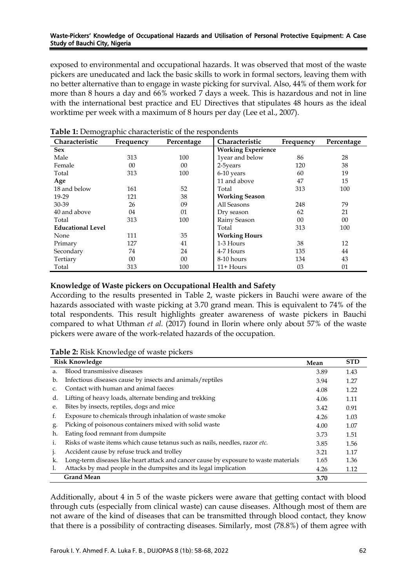exposed to environmental and occupational hazards. It was observed that most of the waste pickers are uneducated and lack the basic skills to work in formal sectors, leaving them with no better alternative than to engage in waste picking for survival. Also, 44% of them work for more than 8 hours a day and 66% worked 7 days a week. This is hazardous and not in line with the international best practice and EU Directives that stipulates 48 hours as the ideal worktime per week with a maximum of 8 hours per day (Lee et al., 2007).

| Characteristic           | Frequency | Percentage | Characteristic            | Frequency | Percentage |
|--------------------------|-----------|------------|---------------------------|-----------|------------|
| <b>Sex</b>               |           |            | <b>Working Experience</b> |           |            |
| Male                     | 313       | 100        | 1year and below           | 86        | 28         |
| Female                   | 00        | $00\,$     | 2-5years                  | 120       | 38         |
| Total                    | 313       | 100        | 6-10 years                | 60        | 19         |
| Age                      |           |            | 11 and above              | 47        | 15         |
| 18 and below             | 161       | 52         | Total                     | 313       | 100        |
| 19-29                    | 121       | 38         | <b>Working Season</b>     |           |            |
| 30-39                    | 26        | 09         | All Seasons               | 248       | 79         |
| 40 and above             | 04        | 01         | Dry season                | 62        | 21         |
| Total                    | 313       | 100        | Rainy Season              | 00        | 00         |
| <b>Educational Level</b> |           |            | Total                     | 313       | 100        |
| None                     | 111       | 35         | <b>Working Hours</b>      |           |            |
| Primary                  | 127       | 41         | 1-3 Hours                 | 38        | 12         |
| Secondary                | 74        | 24         | 4-7 Hours                 | 135       | 44         |
| Tertiary                 | 00        | $00\,$     | 8-10 hours                | 134       | 43         |
| Total                    | 313       | 100        | $11 +$ Hours              | 03        | 01         |

**Table 1:** Demographic characteristic of the respondents

# **Knowledge of Waste pickers on Occupational Health and Safety**

According to the results presented in Table 2, waste pickers in Bauchi were aware of the hazards associated with waste picking at 3.70 grand mean. This is equivalent to 74% of the total respondents. This result highlights greater awareness of waste pickers in Bauchi compared to what Uthman *et al.* (2017) found in Ilorin where only about 57% of the waste pickers were aware of the work-related hazards of the occupation.

|              | <b>Risk Knowledge</b>                                                                | Mean | <b>STD</b> |
|--------------|--------------------------------------------------------------------------------------|------|------------|
| a.           | Blood transmissive diseases                                                          | 3.89 | 1.43       |
| b.           | Infectious diseases cause by insects and animals/reptiles                            | 3.94 | 1.27       |
|              | Contact with human and animal faeces                                                 | 4.08 | 1.22       |
| d.           | Lifting of heavy loads, alternate bending and trekking                               | 4.06 | 1.11       |
| e.           | Bites by insects, reptiles, dogs and mice                                            | 3.42 | 0.91       |
| f.           | Exposure to chemicals through inhalation of waste smoke                              | 4.26 | 1.03       |
| g.           | Picking of poisonous containers mixed with solid waste                               | 4.00 | 1.07       |
| h.           | Eating food remnant from dumpsite                                                    | 3.73 | 1.51       |
| 1.           | Risks of waste items which cause tetanus such as nails, needles, razor etc.          | 3.85 | 1.56       |
| $\mathbf{I}$ | Accident cause by refuse truck and trolley                                           | 3.21 | 1.17       |
| k.           | Long-term diseases like heart attack and cancer cause by exposure to waste materials | 1.65 | 1.36       |
| 1.           | Attacks by mad people in the dumpsites and its legal implication                     | 4.26 | 1.12       |
|              | <b>Grand Mean</b>                                                                    | 3.70 |            |

Additionally, about 4 in 5 of the waste pickers were aware that getting contact with blood through cuts (especially from clinical waste) can cause diseases. Although most of them are not aware of the kind of diseases that can be transmitted through blood contact, they know that there is a possibility of contracting diseases. Similarly, most (78.8%) of them agree with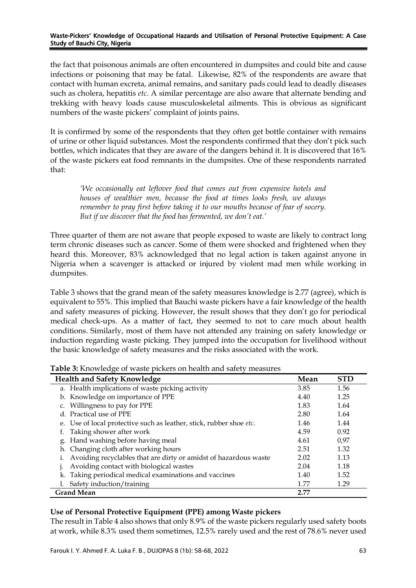the fact that poisonous animals are often encountered in dumpsites and could bite and cause infections or poisoning that may be fatal. Likewise, 82% of the respondents are aware that contact with human excreta, animal remains, and sanitary pads could lead to deadly diseases such as cholera, hepatitis *etc*. A similar percentage are also aware that alternate bending and trekking with heavy loads cause musculoskeletal ailments. This is obvious as significant numbers of the waste pickers' complaint of joints pains.

It is confirmed by some of the respondents that they often get bottle container with remains of urine or other liquid substances. Most the respondents confirmed that they don't pick such bottles, which indicates that they are aware of the dangers behind it. It is discovered that 16% of the waste pickers eat food remnants in the dumpsites. One of these respondents narrated that:

*'We occasionally eat leftover food that comes out from expensive hotels and houses of wealthier men, because the food at times looks fresh, we always remember to pray first before taking it to our mouths because of fear of socery. But if we discover that the food has fermented, we don't eat.'*

Three quarter of them are not aware that people exposed to waste are likely to contract long term chronic diseases such as cancer. Some of them were shocked and frightened when they heard this. Moreover, 83% acknowledged that no legal action is taken against anyone in Nigeria when a scavenger is attacked or injured by violent mad men while working in dumpsites.

Table 3 shows that the grand mean of the safety measures knowledge is 2.77 (agree), which is equivalent to 55%. This implied that Bauchi waste pickers have a fair knowledge of the health and safety measures of picking. However, the result shows that they don't go for periodical medical check-ups. As a matter of fact, they seemed to not to care much about health conditions. Similarly, most of them have not attended any training on safety knowledge or induction regarding waste picking. They jumped into the occupation for livelihood without the basic knowledge of safety measures and the risks associated with the work.

| <b>Health and Safety Knowledge</b>                                  | Mean | <b>STD</b> |
|---------------------------------------------------------------------|------|------------|
| a. Health implications of waste picking activity                    | 3.85 | 1.56       |
| b. Knowledge on importance of PPE                                   | 4.40 | 1.25       |
| c. Willingness to pay for PPE                                       | 1.83 | 1.64       |
| d. Practical use of PPE                                             | 2.80 | 1.64       |
| e. Use of local protective such as leather, stick, rubber shoe etc. | 1.46 | 1.44       |
| Taking shower after work                                            | 4.59 | 0.92       |
| g. Hand washing before having meal                                  | 4.61 | 0.97       |
| h. Changing cloth after working hours                               | 2.51 | 1.32       |
| i. Avoiding recyclables that are dirty or amidst of hazardous waste | 2.02 | 1.13       |
| Avoiding contact with biological wastes                             | 2.04 | 1.18       |
| k. Taking periodical medical examinations and vaccines              | 1.40 | 1.52       |
| Safety induction/training                                           | 1.77 | 1.29       |
| <b>Grand Mean</b>                                                   | 2.77 |            |

**Table 3:** Knowledge of waste pickers on health and safety measures

# **Use of Personal Protective Equipment (PPE) among Waste pickers**

The result in Table 4 also shows that only 8.9% of the waste pickers regularly used safety boots at work, while 8.3% used them sometimes, 12.5% rarely used and the rest of 78.6% never used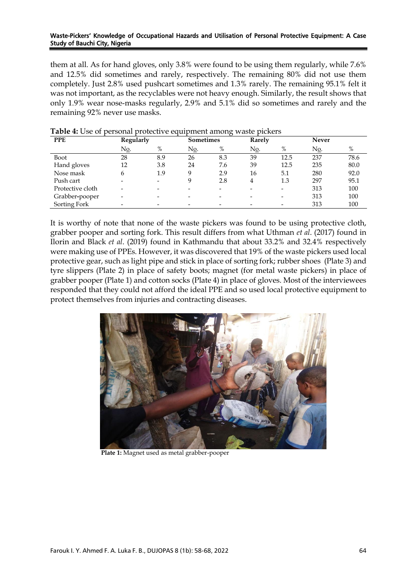them at all. As for hand gloves, only 3.8% were found to be using them regularly, while 7.6% and 12.5% did sometimes and rarely, respectively. The remaining 80% did not use them completely. Just 2.8% used pushcart sometimes and 1.3% rarely. The remaining 95.1% felt it was not important, as the recyclables were not heavy enough. Similarly, the result shows that only 1.9% wear nose-masks regularly, 2.9% and 5.1% did so sometimes and rarely and the remaining 92% never use masks.

| <b>PPE</b>       | Regularly |                          | <b>Sometimes</b>         |     | Rarely |                          | <b>Never</b> |      |
|------------------|-----------|--------------------------|--------------------------|-----|--------|--------------------------|--------------|------|
|                  | No.       | $\%$                     | No.                      | %   | No.    | $\%$                     | No.          | %    |
| Boot             | 28        | 8.9                      | 26                       | 8.3 | 39     | 12.5                     | 237          | 78.6 |
| Hand gloves      | 12        | 3.8                      | 24                       | 7.6 | 39     | 12.5                     | 235          | 80.0 |
| Nose mask        | 6         | 1.9                      | q                        | 2.9 | 16     | 5.1                      | 280          | 92.0 |
| Push cart        |           | $\overline{\phantom{0}}$ | q                        | 2.8 | 4      | 1.3                      | 297          | 95.1 |
| Protective cloth |           |                          | $\overline{\phantom{0}}$ |     | -      | $\overline{\phantom{0}}$ | 313          | 100  |
| Grabber-pooper   |           | -                        | $\overline{\phantom{0}}$ |     | -      | $\overline{\phantom{0}}$ | 313          | 100  |
| Sorting Fork     |           |                          |                          |     |        |                          | 313          | 100  |

## **Table 4:** Use of personal protective equipment among waste pickers

It is worthy of note that none of the waste pickers was found to be using protective cloth, grabber pooper and sorting fork. This result differs from what Uthman *et al*. (2017) found in Ilorin and Black *et al*. (2019) found in Kathmandu that about 33.2% and 32.4% respectively were making use of PPEs. However, it was discovered that 19% of the waste pickers used local protective gear, such as light pipe and stick in place of sorting fork; rubber shoes (Plate 3) and tyre slippers (Plate 2) in place of safety boots; magnet (for metal waste pickers) in place of grabber pooper (Plate 1) and cotton socks (Plate 4) in place of gloves. Most of the interviewees responded that they could not afford the ideal PPE and so used local protective equipment to protect themselves from injuries and contracting diseases.



 **Plate 1:** Magnet used as metal grabber-pooper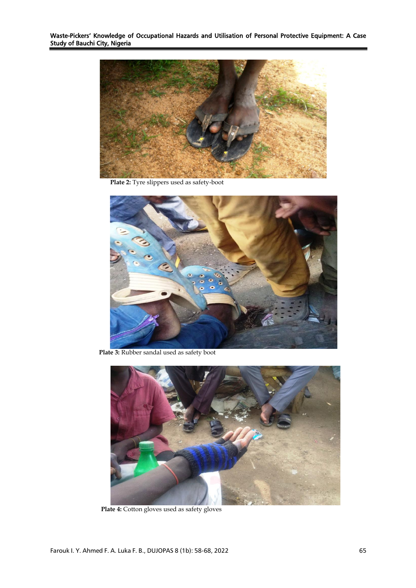

**Plate 2:** Tyre slippers used as safety-boot



**Plate 3:** Rubber sandal used as safety boot



 **Plate 4:** Cotton gloves used as safety gloves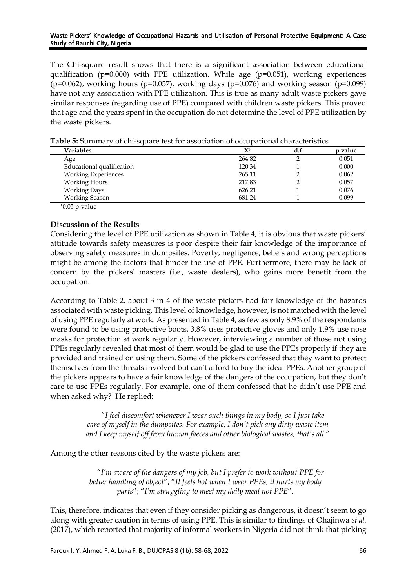The Chi-square result shows that there is a significant association between educational qualification ( $p=0.000$ ) with PPE utilization. While age ( $p=0.051$ ), working experiences ( $p=0.062$ ), working hours ( $p=0.057$ ), working days ( $p=0.076$ ) and working season ( $p=0.099$ ) have not any association with PPE utilization. This is true as many adult waste pickers gave similar responses (regarding use of PPE) compared with children waste pickers. This proved that age and the years spent in the occupation do not determine the level of PPE utilization by the waste pickers.

| Variables                  | $X^2$  | d.f | p value |
|----------------------------|--------|-----|---------|
| Age                        | 264.82 |     | 0.051   |
| Educational qualification  | 120.34 |     | 0.000   |
| <b>Working Experiences</b> | 265.11 |     | 0.062   |
| <b>Working Hours</b>       | 217.83 |     | 0.057   |
| <b>Working Days</b>        | 626.21 |     | 0.076   |
| <b>Working Season</b>      | 681.24 |     | 0.099   |
|                            |        |     |         |

**Table 5:** Summary of chi-square test for association of occupational characteristics

\*0.05 p-value

# **Discussion of the Results**

Considering the level of PPE utilization as shown in Table 4, it is obvious that waste pickers' attitude towards safety measures is poor despite their fair knowledge of the importance of observing safety measures in dumpsites. Poverty, negligence, beliefs and wrong perceptions might be among the factors that hinder the use of PPE. Furthermore, there may be lack of concern by the pickers' masters (i.e., waste dealers), who gains more benefit from the occupation.

According to Table 2, about 3 in 4 of the waste pickers had fair knowledge of the hazards associated with waste picking. This level of knowledge, however, is not matched with the level of using PPE regularly at work. As presented in Table 4, as few as only 8.9% of the respondants were found to be using protective boots, 3.8% uses protective gloves and only 1.9% use nose masks for protection at work regularly. However, interviewing a number of those not using PPEs regularly revealed that most of them would be glad to use the PPEs properly if they are provided and trained on using them. Some of the pickers confessed that they want to protect themselves from the threats involved but can't afford to buy the ideal PPEs. Another group of the pickers appears to have a fair knowledge of the dangers of the occupation, but they don't care to use PPEs regularly. For example, one of them confessed that he didn't use PPE and when asked why? He replied:

> "*I feel discomfort whenever I wear such things in my body, so I just take care of myself in the dumpsites. For example, I don't pick any dirty waste item and I keep myself off from human faeces and other biological wastes, that's all.*"

Among the other reasons cited by the waste pickers are:

"*I'm aware of the dangers of my job, but I prefer to work without PPE for better handling of object*"; "*It feels hot when I wear PPEs, it hurts my body parts*"; "*I'm struggling to meet my daily meal not PPE*".

This, therefore, indicates that even if they consider picking as dangerous, it doesn't seem to go along with greater caution in terms of using PPE. This is similar to findings of Ohajinwa *et al.* (2017), which reported that majority of informal workers in Nigeria did not think that picking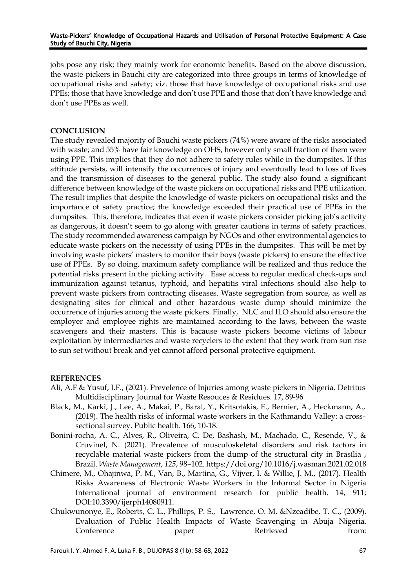jobs pose any risk; they mainly work for economic benefits. Based on the above discussion, the waste pickers in Bauchi city are categorized into three groups in terms of knowledge of occupational risks and safety; viz. those that have knowledge of occupational risks and use PPEs; those that have knowledge and don't use PPE and those that don't have knowledge and don't use PPEs as well.

## **CONCLUSION**

The study revealed majority of Bauchi waste pickers (74%) were aware of the risks associated with waste; and 55% have fair knowledge on OHS, however only small fraction of them were using PPE. This implies that they do not adhere to safety rules while in the dumpsites. If this attitude persists, will intensify the occurrences of injury and eventually lead to loss of lives and the transmission of diseases to the general public. The study also found a significant difference between knowledge of the waste pickers on occupational risks and PPE utilization. The result implies that despite the knowledge of waste pickers on occupational risks and the importance of safety practice; the knowledge exceeded their practical use of PPEs in the dumpsites. This, therefore, indicates that even if waste pickers consider picking job's activity as dangerous, it doesn't seem to go along with greater cautions in terms of safety practices. The study recommended awareness campaign by NGOs and other environmental agencies to educate waste pickers on the necessity of using PPEs in the dumpsites. This will be met by involving waste pickers' masters to monitor their boys (waste pickers) to ensure the effective use of PPEs. By so doing, maximum safety compliance will be realized and thus reduce the potential risks present in the picking activity. Ease access to regular medical check-ups and immunization against tetanus, typhoid, and hepatitis viral infections should also help to prevent waste pickers from contracting diseases. Waste segregation from source, as well as designating sites for clinical and other hazardous waste dump should minimize the occurrence of injuries among the waste pickers. Finally, NLC and ILO should also ensure the employer and employee rights are maintained according to the laws, between the waste scavengers and their masters. This is bacause waste pickers become victims of labour exploitation by intermediaries and waste recyclers to the extent that they work from sun rise to sun set without break and yet cannot afford personal protective equipment.

## **REFERENCES**

- Ali, A.F & Yusuf, I.F., (2021). Prevelence of Injuries among waste pickers in Nigeria. Detritus Multidisciplinary Journal for Waste Resouces & Residues. 17, 89-96
- Black, M., Karki, J., Lee, A., Makai, P., Baral, Y., Kritsotakis, E., Bernier, A., Heckmann, A., (2019). The health risks of informal waste workers in the Kathmandu Valley: a crosssectional survey. Public health. 166, 10-18.
- Bonini-rocha, A. C., Alves, R., Oliveira, C. De, Bashash, M., Machado, C., Resende, V., & Cruvinel, N. (2021). Prevalence of musculoskeletal disorders and risk factors in recyclable material waste pickers from the dump of the structural city in Brasília , Brazil. *Waste Management*, *125*, 98–102. https://doi.org/10.1016/j.wasman.2021.02.018
- Chimere, M., Ohajinwa, P. M., Van, B., Martina, G., Vijver, I. & Willie, J. M., (2017). Health Risks Awareness of Electronic Waste Workers in the Informal Sector in Nigeria International journal of environment research for public health. 14, 911; DOI:10.3390/ijerph14080911.
- Chukwunonye, E., Roberts, C. L., Phillips, P. S., Lawrence, O. M. &Nzeadibe, T. C., (2009). Evaluation of Public Health Impacts of Waste Scavenging in Abuja Nigeria. Conference paper Retrieved from: